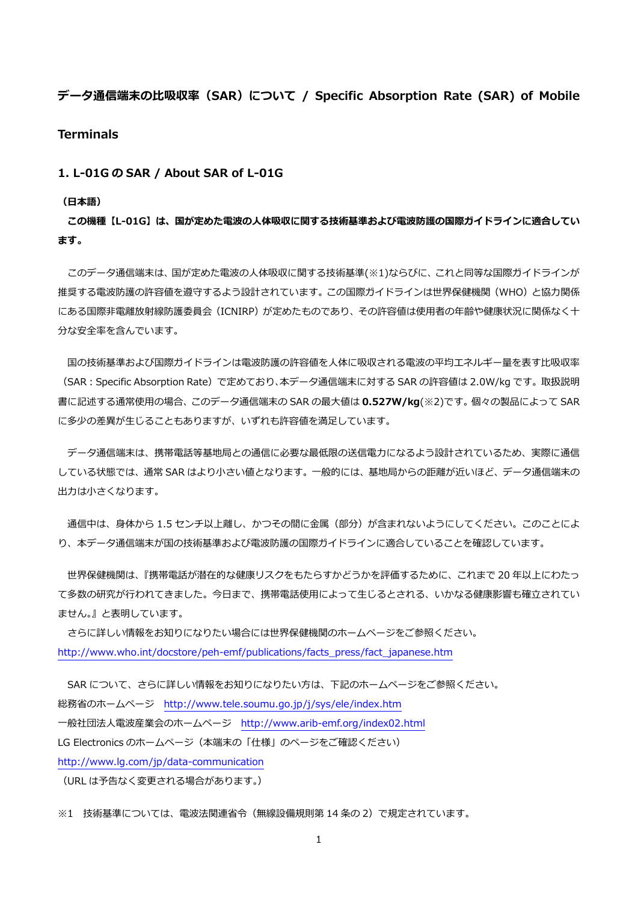# **データ通信端末の⽐吸収率(SAR)について / Specific Absorption Rate (SAR) of Mobile**

# **Terminals**

# **1. L-01G の SAR / About SAR of L-01G**

#### **(⽇本語)**

**この機種【L-01G】は、国が定めた電波の⼈体吸収に関する技術基準および電波防護の国際ガイドラインに適合してい ます。** 

このデータ通信端末は、国が定めた電波の人体吸収に関する技術基準(※1)ならびに、これと同等な国際ガイドラインが 推奨する電波防護の許容値を遵守するよう設計されています。この国際ガイドラインは世界保健機関(WHO)と協力関係 にある国際非電離放射線防護委員会(ICNIRP)が定めたものであり、その許容値は使用者の年齢や健康状況に関係なく十 分な安全率を含んでいます。

国の技術基準および国際ガイドラインは電波防護の許容値を人体に吸収される電波の平均エネルギー量を表す比吸収率 (SAR:Specific Absorption Rate)で定めており、本データ通信端末に対する SAR の許容値は 2.0W/kg です。取扱説明 書に記述する通常使⽤の場合、このデータ通信端末の SAR の最⼤値は **0.527W/kg**(※2)です。個々の製品によって SAR に多少の差異が生じることもありますが、いずれも許容値を満足しています。

 データ通信端末は、携帯電話等基地局との通信に必要な最低限の送信電⼒になるよう設計されているため、実際に通信 している状態では、通常 SAR はより⼩さい値となります。⼀般的には、基地局からの距離が近いほど、データ通信端末の 出力は小さくなります。

通信中は、身体から 1.5 センチ以上離し、かつその間に金属 (部分) が含まれないようにしてください。このことによ り、本データ通信端末が国の技術基準および電波防護の国際ガイドラインに適合していることを確認しています。

世界保健機関は、『携帯電話が潜在的な健康リスクをもたらすかどうかを評価するために、これまで 20 年以上にわたっ て多数の研究が行われてきました。今日まで、携帯電話使用によって生じるとされる、いかなる健康影響も確立されてい ません。』と表明しています。

 さらに詳しい情報をお知りになりたい場合には世界保健機関のホームページをご参照ください。 http://www.who.int/docstore/peh-emf/publications/facts\_press/fact\_japanese.htm

SAR について、さらに詳しい情報をお知りになりたい方は、下記のホームページをご参照ください。 総務省のホームページ http://www.tele.soumu.go.jp/j/sys/ele/index.htm ⼀般社団法⼈電波産業会のホームページ http://www.arib-emf.org/index02.html LG Electronics のホームページ(本端末の「仕様」のページをご確認ください) http://www.lg.com/jp/data-communication

(URL は予告なく変更される場合があります。)

※1 技術基準については、電波法関連省令(無線設備規則第14条の2)で規定されています。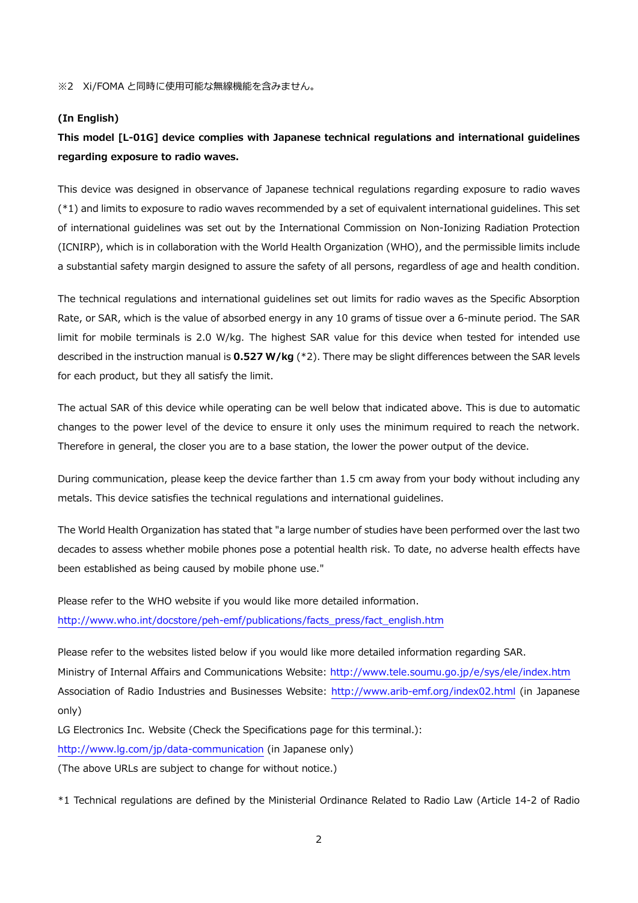#### **(In English)**

# **This model [L-01G] device complies with Japanese technical regulations and international guidelines regarding exposure to radio waves.**

This device was designed in observance of Japanese technical regulations regarding exposure to radio waves (\*1) and limits to exposure to radio waves recommended by a set of equivalent international guidelines. This set of international guidelines was set out by the International Commission on Non-Ionizing Radiation Protection (ICNIRP), which is in collaboration with the World Health Organization (WHO), and the permissible limits include a substantial safety margin designed to assure the safety of all persons, regardless of age and health condition.

The technical regulations and international guidelines set out limits for radio waves as the Specific Absorption Rate, or SAR, which is the value of absorbed energy in any 10 grams of tissue over a 6-minute period. The SAR limit for mobile terminals is 2.0 W/kg. The highest SAR value for this device when tested for intended use described in the instruction manual is **0.527 W/kg** (\*2). There may be slight differences between the SAR levels for each product, but they all satisfy the limit.

The actual SAR of this device while operating can be well below that indicated above. This is due to automatic changes to the power level of the device to ensure it only uses the minimum required to reach the network. Therefore in general, the closer you are to a base station, the lower the power output of the device.

During communication, please keep the device farther than 1.5 cm away from your body without including any metals. This device satisfies the technical regulations and international guidelines.

The World Health Organization has stated that "a large number of studies have been performed over the last two decades to assess whether mobile phones pose a potential health risk. To date, no adverse health effects have been established as being caused by mobile phone use."

Please refer to the WHO website if you would like more detailed information. http://www.who.int/docstore/peh-emf/publications/facts\_press/fact\_english.htm

Please refer to the websites listed below if you would like more detailed information regarding SAR. Ministry of Internal Affairs and Communications Website: http://www.tele.soumu.go.jp/e/sys/ele/index.htm Association of Radio Industries and Businesses Website: http://www.arib-emf.org/index02.html (in Japanese only)

LG Electronics Inc. Website (Check the Specifications page for this terminal.): http://www.lg.com/jp/data-communication (in Japanese only)

(The above URLs are subject to change for without notice.)

\*1 Technical regulations are defined by the Ministerial Ordinance Related to Radio Law (Article 14-2 of Radio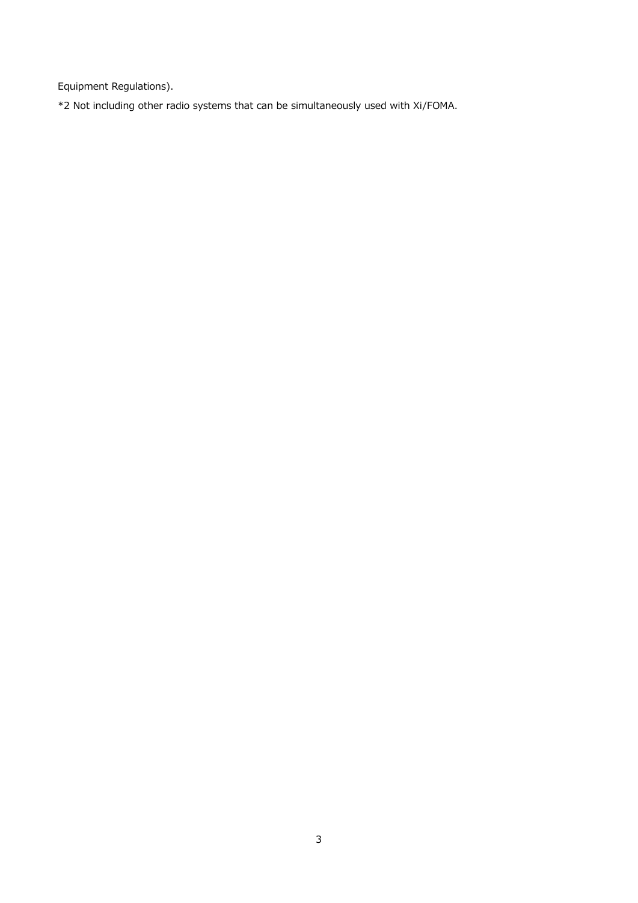Equipment Regulations).

\*2 Not including other radio systems that can be simultaneously used with Xi/FOMA.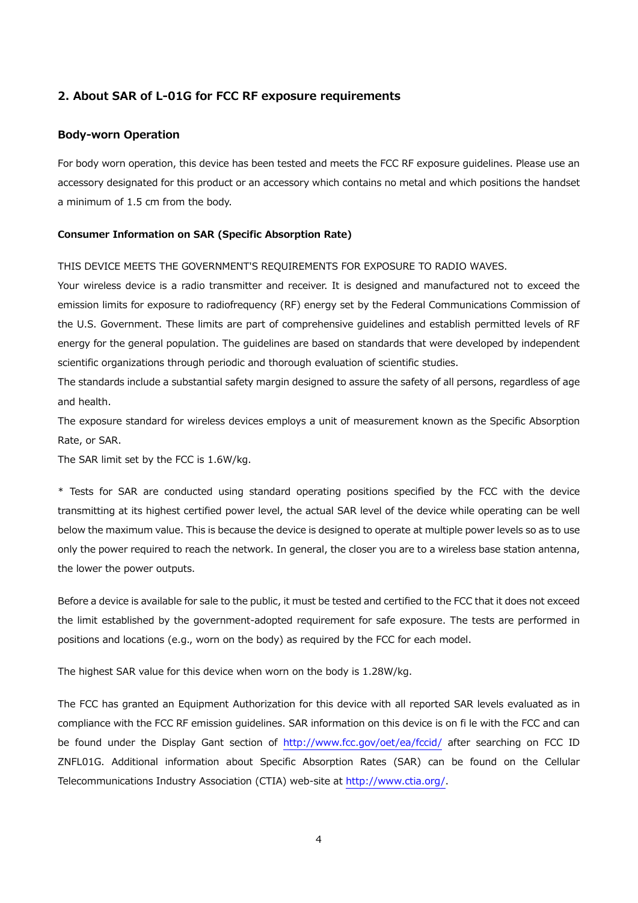# **2. About SAR of L-01G for FCC RF exposure requirements**

## **Body-worn Operation**

For body worn operation, this device has been tested and meets the FCC RF exposure guidelines. Please use an accessory designated for this product or an accessory which contains no metal and which positions the handset a minimum of 1.5 cm from the body.

#### **Consumer Information on SAR (Specific Absorption Rate)**

#### THIS DEVICE MEETS THE GOVERNMENT'S REQUIREMENTS FOR EXPOSURE TO RADIO WAVES.

Your wireless device is a radio transmitter and receiver. It is designed and manufactured not to exceed the emission limits for exposure to radiofrequency (RF) energy set by the Federal Communications Commission of the U.S. Government. These limits are part of comprehensive guidelines and establish permitted levels of RF energy for the general population. The guidelines are based on standards that were developed by independent scientific organizations through periodic and thorough evaluation of scientific studies.

The standards include a substantial safety margin designed to assure the safety of all persons, regardless of age and health.

The exposure standard for wireless devices employs a unit of measurement known as the Specific Absorption Rate, or SAR.

The SAR limit set by the FCC is 1.6W/kg.

\* Tests for SAR are conducted using standard operating positions specified by the FCC with the device transmitting at its highest certified power level, the actual SAR level of the device while operating can be well below the maximum value. This is because the device is designed to operate at multiple power levels so as to use only the power required to reach the network. In general, the closer you are to a wireless base station antenna, the lower the power outputs.

Before a device is available for sale to the public, it must be tested and certified to the FCC that it does not exceed the limit established by the government-adopted requirement for safe exposure. The tests are performed in positions and locations (e.g., worn on the body) as required by the FCC for each model.

The highest SAR value for this device when worn on the body is 1.28W/kg.

The FCC has granted an Equipment Authorization for this device with all reported SAR levels evaluated as in compliance with the FCC RF emission guidelines. SAR information on this device is on fi le with the FCC and can be found under the Display Gant section of http://www.fcc.gov/oet/ea/fccid/ after searching on FCC ID ZNFL01G. Additional information about Specific Absorption Rates (SAR) can be found on the Cellular Telecommunications Industry Association (CTIA) web-site at http://www.ctia.org/.